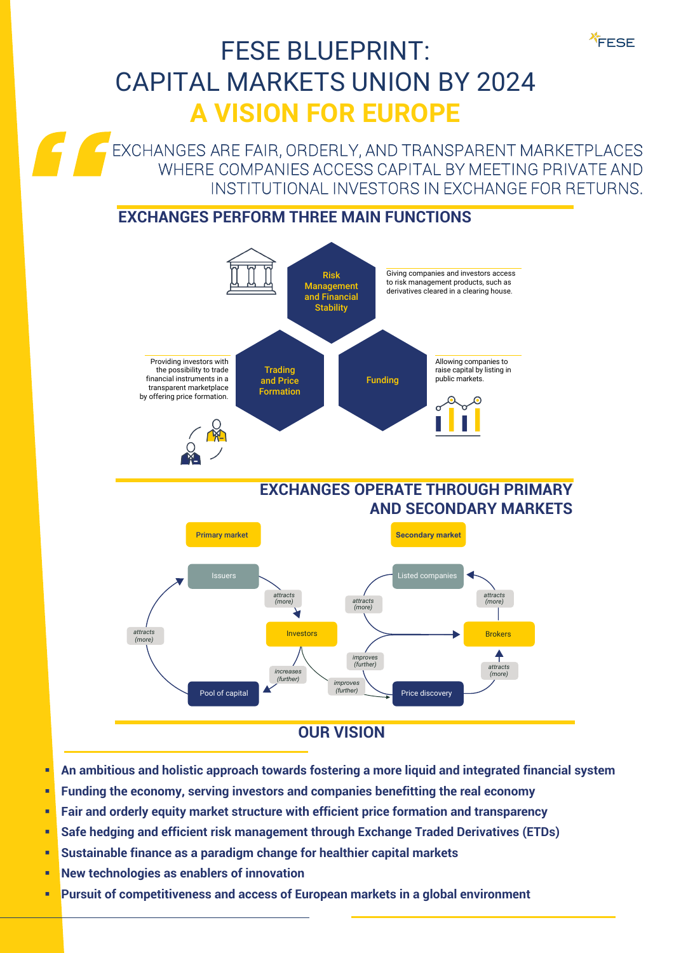## FESE BLUEPRINT: CAPITAL MARKETS UNION BY 2024 **A VISION FOR EUROPE**

EXCHANGES ARE FAIR, ORDERLY, AND TRANSPARENT MARKETPLACES WHERE COMPANIES ACCESS CAPITAL BY MEETING PRIVATE AND INSTITUTIONAL INVESTORS IN EXCHANGE FOR RETURNS.

FESE

## **EXCHANGES PERFORM THREE MAIN FUNCTIONS**



- **An ambitious and holistic approach towards fostering a more liquid and integrated financial system**
- **Funding the economy, serving investors and companies benefitting the real economy**
- **Fair and orderly equity market structure with efficient price formation and transparency**
- **Safe hedging and efficient risk management through Exchange Traded Derivatives (ETDs)**
- **Sustainable finance as a paradigm change for healthier capital markets**
- **New technologies as enablers of innovation**
- **Pursuit of competitiveness and access of European markets in a global environment**